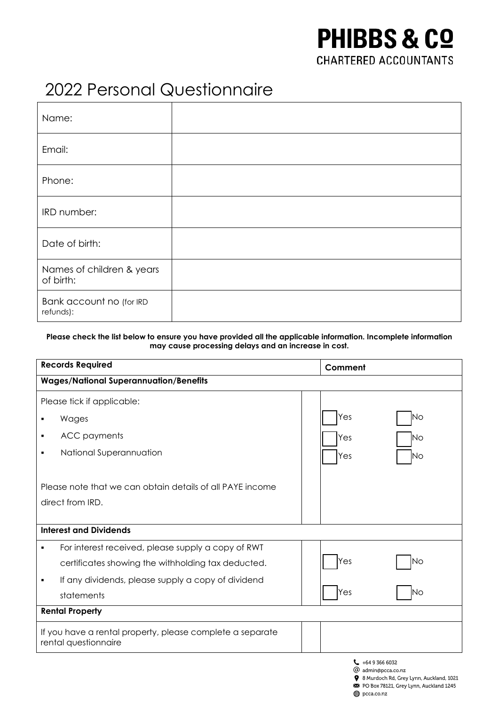## **PHIBBS & CO CHARTERED ACCOUNTANTS**

8 Murdoch Rd, Grey Lynn, Auckland, 1021 PO Box 78121, Grey Lynn, Auckland 1245

pcca.co.nz

## 2022 Personal Questionnaire

| Name:                                  |  |
|----------------------------------------|--|
| Email:                                 |  |
| Phone:                                 |  |
| IRD number:                            |  |
| Date of birth:                         |  |
| Names of children & years<br>of birth: |  |
| Bank account no (for IRD<br>refunds):  |  |

## **Please check the list below to ensure you have provided all the applicable information. Incomplete information may cause processing delays and an increase in cost.**

| <b>Records Required</b>                                                           |  | Comment                                  |           |
|-----------------------------------------------------------------------------------|--|------------------------------------------|-----------|
| <b>Wages/National Superannuation/Benefits</b>                                     |  |                                          |           |
| Please tick if applicable:                                                        |  |                                          |           |
| Wages                                                                             |  | Yes                                      | INo       |
| <b>ACC</b> payments<br>٠                                                          |  | Yes                                      | INo       |
| National Superannuation                                                           |  | Yes                                      | lNo       |
| Please note that we can obtain details of all PAYE income                         |  |                                          |           |
| direct from IRD.                                                                  |  |                                          |           |
|                                                                                   |  |                                          |           |
| <b>Interest and Dividends</b>                                                     |  |                                          |           |
| For interest received, please supply a copy of RWT                                |  |                                          |           |
| certificates showing the withholding tax deducted.                                |  | Yes                                      | <b>No</b> |
| If any dividends, please supply a copy of dividend<br>٠                           |  |                                          |           |
| statements                                                                        |  | Yes                                      | <b>No</b> |
| <b>Rental Property</b>                                                            |  |                                          |           |
| If you have a rental property, please complete a separate<br>rental questionnaire |  |                                          |           |
|                                                                                   |  | $-$ +64 9 366 6032<br>@ admin@pcca.co.nz |           |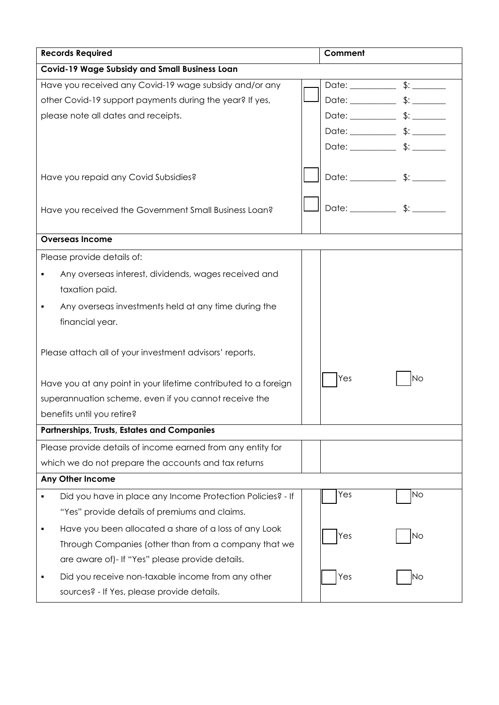| <b>Records Required</b>                                         |  | Comment |           |  |
|-----------------------------------------------------------------|--|---------|-----------|--|
| <b>Covid-19 Wage Subsidy and Small Business Loan</b>            |  |         |           |  |
| Have you received any Covid-19 wage subsidy and/or any          |  |         |           |  |
| other Covid-19 support payments during the year? If yes,        |  |         |           |  |
| please note all dates and receipts.                             |  |         |           |  |
|                                                                 |  |         |           |  |
|                                                                 |  |         |           |  |
|                                                                 |  |         |           |  |
| Have you repaid any Covid Subsidies?                            |  |         |           |  |
| Have you received the Government Small Business Loan?           |  |         |           |  |
| <b>Overseas Income</b>                                          |  |         |           |  |
| Please provide details of:                                      |  |         |           |  |
| Any overseas interest, dividends, wages received and            |  |         |           |  |
| taxation paid.                                                  |  |         |           |  |
| Any overseas investments held at any time during the            |  |         |           |  |
| financial year.                                                 |  |         |           |  |
| Please attach all of your investment advisors' reports.         |  |         |           |  |
| Have you at any point in your lifetime contributed to a foreign |  | Yes     | Νo        |  |
| superannuation scheme, even if you cannot receive the           |  |         |           |  |
| benefits until you retire?                                      |  |         |           |  |
| <b>Partnerships, Trusts, Estates and Companies</b>              |  |         |           |  |
| Please provide details of income earned from any entity for     |  |         |           |  |
| which we do not prepare the accounts and tax returns            |  |         |           |  |
| Any Other Income                                                |  |         |           |  |
| Did you have in place any Income Protection Policies? - If      |  | Yes     | <b>No</b> |  |
| "Yes" provide details of premiums and claims.                   |  |         |           |  |
| Have you been allocated a share of a loss of any Look           |  |         |           |  |
| Through Companies (other than from a company that we            |  | Yes     | <b>No</b> |  |
| are aware of)- If "Yes" please provide details.                 |  |         |           |  |
| Did you receive non-taxable income from any other               |  | Yes     | No        |  |
| sources? - If Yes, please provide details.                      |  |         |           |  |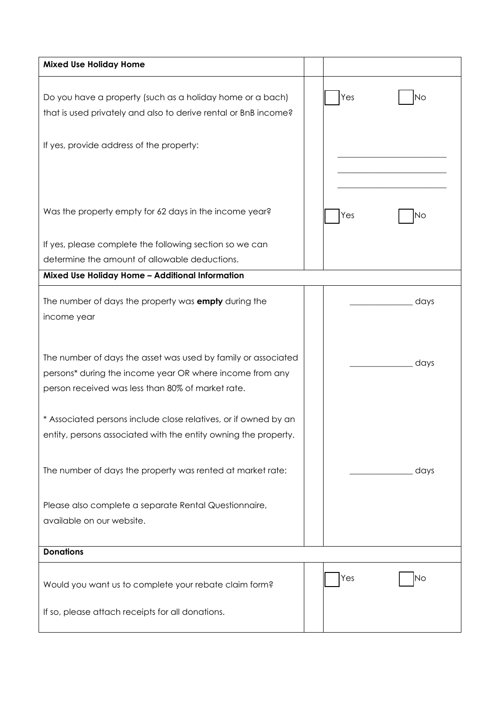| <b>Mixed Use Holiday Home</b>                                                                                                                                                  |  |     |      |
|--------------------------------------------------------------------------------------------------------------------------------------------------------------------------------|--|-----|------|
| Do you have a property (such as a holiday home or a bach)<br>that is used privately and also to derive rental or BnB income?                                                   |  | Yes | Νo   |
| If yes, provide address of the property:                                                                                                                                       |  |     |      |
| Was the property empty for 62 days in the income year?                                                                                                                         |  | Yes | Νo   |
| If yes, please complete the following section so we can                                                                                                                        |  |     |      |
| determine the amount of allowable deductions.                                                                                                                                  |  |     |      |
| Mixed Use Holiday Home - Additional Information                                                                                                                                |  |     |      |
| The number of days the property was <b>empty</b> during the<br>income year                                                                                                     |  |     | days |
| The number of days the asset was used by family or associated<br>persons* during the income year OR where income from any<br>person received was less than 80% of market rate. |  |     | days |
| * Associated persons include close relatives, or if owned by an<br>entity, persons associated with the entity owning the property.                                             |  |     |      |
| The number of days the property was rented at market rate:                                                                                                                     |  |     | days |
| Please also complete a separate Rental Questionnaire,<br>available on our website.                                                                                             |  |     |      |
| <b>Donations</b>                                                                                                                                                               |  |     |      |
| Would you want us to complete your rebate claim form?                                                                                                                          |  | Yes | Νo   |
| If so, please attach receipts for all donations.                                                                                                                               |  |     |      |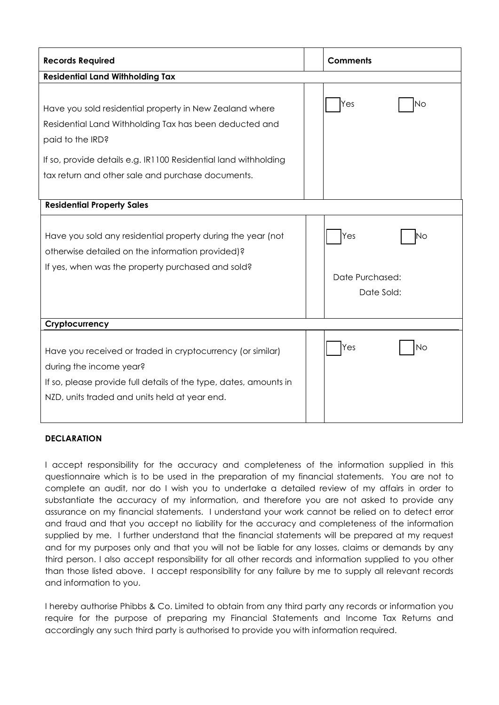| <b>Records Required</b>                                                                                                                                                                                                                                       |  | <b>Comments</b>                            |  |
|---------------------------------------------------------------------------------------------------------------------------------------------------------------------------------------------------------------------------------------------------------------|--|--------------------------------------------|--|
| <b>Residential Land Withholding Tax</b>                                                                                                                                                                                                                       |  |                                            |  |
| Have you sold residential property in New Zealand where<br>Residential Land Withholding Tax has been deducted and<br>paid to the IRD?<br>If so, provide details e.g. IR1100 Residential land withholding<br>tax return and other sale and purchase documents. |  | Yes<br>Νo                                  |  |
| <b>Residential Property Sales</b>                                                                                                                                                                                                                             |  |                                            |  |
| Have you sold any residential property during the year (not<br>otherwise detailed on the information provided)?<br>If yes, when was the property purchased and sold?                                                                                          |  | Yes<br>N٥<br>Date Purchased:<br>Date Sold: |  |
| Cryptocurrency                                                                                                                                                                                                                                                |  |                                            |  |
| Have you received or traded in cryptocurrency (or similar)<br>during the income year?<br>If so, please provide full details of the type, dates, amounts in<br>NZD, units traded and units held at year end.                                                   |  | Yes<br>Νo                                  |  |

## **DECLARATION**

I accept responsibility for the accuracy and completeness of the information supplied in this questionnaire which is to be used in the preparation of my financial statements. You are not to complete an audit, nor do I wish you to undertake a detailed review of my affairs in order to substantiate the accuracy of my information, and therefore you are not asked to provide any assurance on my financial statements. I understand your work cannot be relied on to detect error and fraud and that you accept no liability for the accuracy and completeness of the information supplied by me. I further understand that the financial statements will be prepared at my request and for my purposes only and that you will not be liable for any losses, claims or demands by any third person. I also accept responsibility for all other records and information supplied to you other than those listed above. I accept responsibility for any failure by me to supply all relevant records and information to you.

I hereby authorise Phibbs & Co. Limited to obtain from any third party any records or information you require for the purpose of preparing my Financial Statements and Income Tax Returns and accordingly any such third party is authorised to provide you with information required.